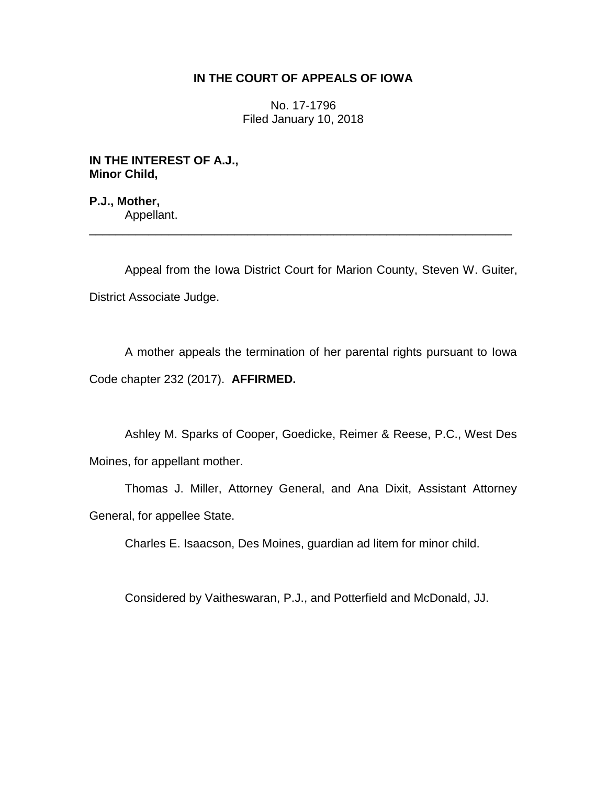## **IN THE COURT OF APPEALS OF IOWA**

No. 17-1796 Filed January 10, 2018

**IN THE INTEREST OF A.J., Minor Child,**

**P.J., Mother,** Appellant. \_\_\_\_\_\_\_\_\_\_\_\_\_\_\_\_\_\_\_\_\_\_\_\_\_\_\_\_\_\_\_\_\_\_\_\_\_\_\_\_\_\_\_\_\_\_\_\_\_\_\_\_\_\_\_\_\_\_\_\_\_\_\_\_

Appeal from the Iowa District Court for Marion County, Steven W. Guiter, District Associate Judge.

A mother appeals the termination of her parental rights pursuant to Iowa Code chapter 232 (2017). **AFFIRMED.**

Ashley M. Sparks of Cooper, Goedicke, Reimer & Reese, P.C., West Des Moines, for appellant mother.

Thomas J. Miller, Attorney General, and Ana Dixit, Assistant Attorney General, for appellee State.

Charles E. Isaacson, Des Moines, guardian ad litem for minor child.

Considered by Vaitheswaran, P.J., and Potterfield and McDonald, JJ.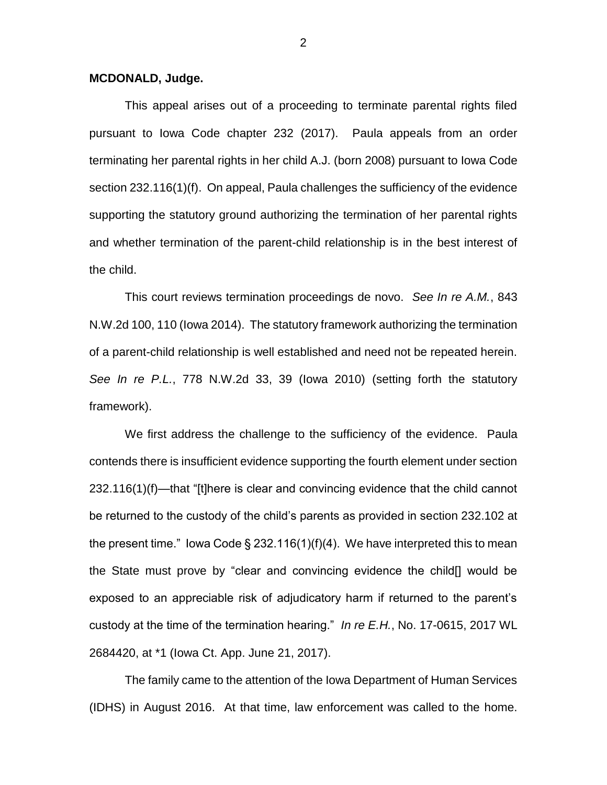## **MCDONALD, Judge.**

This appeal arises out of a proceeding to terminate parental rights filed pursuant to Iowa Code chapter 232 (2017). Paula appeals from an order terminating her parental rights in her child A.J. (born 2008) pursuant to Iowa Code section 232.116(1)(f). On appeal, Paula challenges the sufficiency of the evidence supporting the statutory ground authorizing the termination of her parental rights and whether termination of the parent-child relationship is in the best interest of the child.

This court reviews termination proceedings de novo. *See In re A.M.*, 843 N.W.2d 100, 110 (Iowa 2014). The statutory framework authorizing the termination of a parent-child relationship is well established and need not be repeated herein. *See In re P.L.*, 778 N.W.2d 33, 39 (Iowa 2010) (setting forth the statutory framework).

We first address the challenge to the sufficiency of the evidence. Paula contends there is insufficient evidence supporting the fourth element under section 232.116(1)(f)—that "[t]here is clear and convincing evidence that the child cannot be returned to the custody of the child's parents as provided in section 232.102 at the present time." Iowa Code § 232.116(1)(f)(4). We have interpreted this to mean the State must prove by "clear and convincing evidence the child[] would be exposed to an appreciable risk of adjudicatory harm if returned to the parent's custody at the time of the termination hearing." *In re E.H.*, No. 17-0615, 2017 WL 2684420, at \*1 (Iowa Ct. App. June 21, 2017).

The family came to the attention of the Iowa Department of Human Services (IDHS) in August 2016. At that time, law enforcement was called to the home.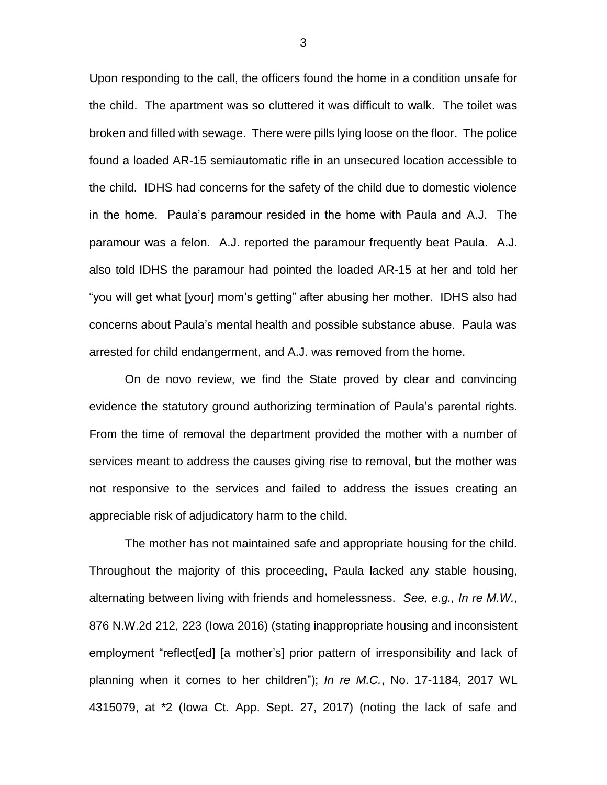Upon responding to the call, the officers found the home in a condition unsafe for the child. The apartment was so cluttered it was difficult to walk. The toilet was broken and filled with sewage. There were pills lying loose on the floor. The police found a loaded AR-15 semiautomatic rifle in an unsecured location accessible to the child. IDHS had concerns for the safety of the child due to domestic violence in the home. Paula's paramour resided in the home with Paula and A.J. The paramour was a felon. A.J. reported the paramour frequently beat Paula. A.J. also told IDHS the paramour had pointed the loaded AR-15 at her and told her "you will get what [your] mom's getting" after abusing her mother. IDHS also had concerns about Paula's mental health and possible substance abuse. Paula was arrested for child endangerment, and A.J. was removed from the home.

On de novo review, we find the State proved by clear and convincing evidence the statutory ground authorizing termination of Paula's parental rights. From the time of removal the department provided the mother with a number of services meant to address the causes giving rise to removal, but the mother was not responsive to the services and failed to address the issues creating an appreciable risk of adjudicatory harm to the child.

The mother has not maintained safe and appropriate housing for the child. Throughout the majority of this proceeding, Paula lacked any stable housing, alternating between living with friends and homelessness. *See, e.g., In re M.W.*, 876 N.W.2d 212, 223 (Iowa 2016) (stating inappropriate housing and inconsistent employment "reflect[ed] [a mother's] prior pattern of irresponsibility and lack of planning when it comes to her children"); *In re M.C.*, No. 17-1184, 2017 WL 4315079, at \*2 (Iowa Ct. App. Sept. 27, 2017) (noting the lack of safe and

3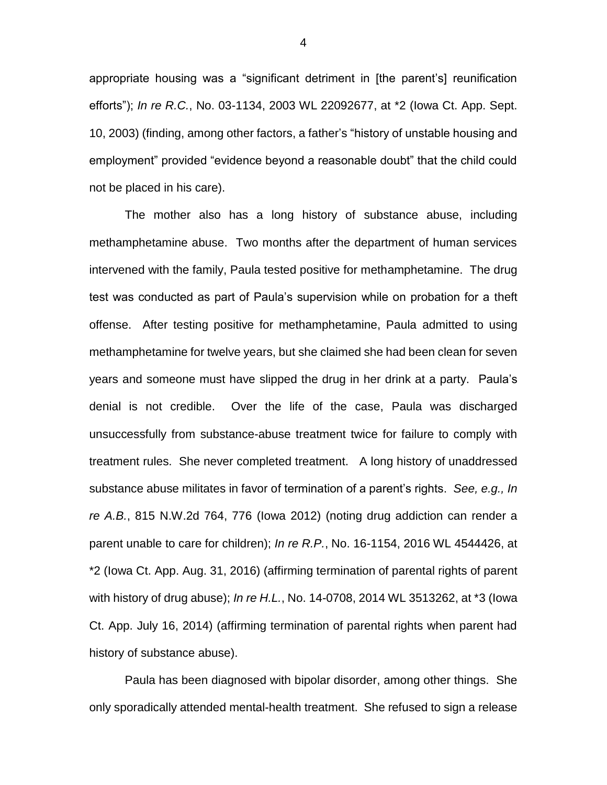appropriate housing was a "significant detriment in [the parent's] reunification efforts"); *In re R.C.*, No. 03-1134, 2003 WL 22092677, at \*2 (Iowa Ct. App. Sept. 10, 2003) (finding, among other factors, a father's "history of unstable housing and employment" provided "evidence beyond a reasonable doubt" that the child could not be placed in his care).

The mother also has a long history of substance abuse, including methamphetamine abuse. Two months after the department of human services intervened with the family, Paula tested positive for methamphetamine. The drug test was conducted as part of Paula's supervision while on probation for a theft offense. After testing positive for methamphetamine, Paula admitted to using methamphetamine for twelve years, but she claimed she had been clean for seven years and someone must have slipped the drug in her drink at a party. Paula's denial is not credible. Over the life of the case, Paula was discharged unsuccessfully from substance-abuse treatment twice for failure to comply with treatment rules. She never completed treatment. A long history of unaddressed substance abuse militates in favor of termination of a parent's rights. *See, e.g., In re A.B.*, 815 N.W.2d 764, 776 (Iowa 2012) (noting drug addiction can render a parent unable to care for children); *In re R.P.*, No. 16-1154, 2016 WL 4544426, at \*2 (Iowa Ct. App. Aug. 31, 2016) (affirming termination of parental rights of parent with history of drug abuse); *In re H.L.*, No. 14-0708, 2014 WL 3513262, at \*3 (Iowa Ct. App. July 16, 2014) (affirming termination of parental rights when parent had history of substance abuse).

Paula has been diagnosed with bipolar disorder, among other things. She only sporadically attended mental-health treatment. She refused to sign a release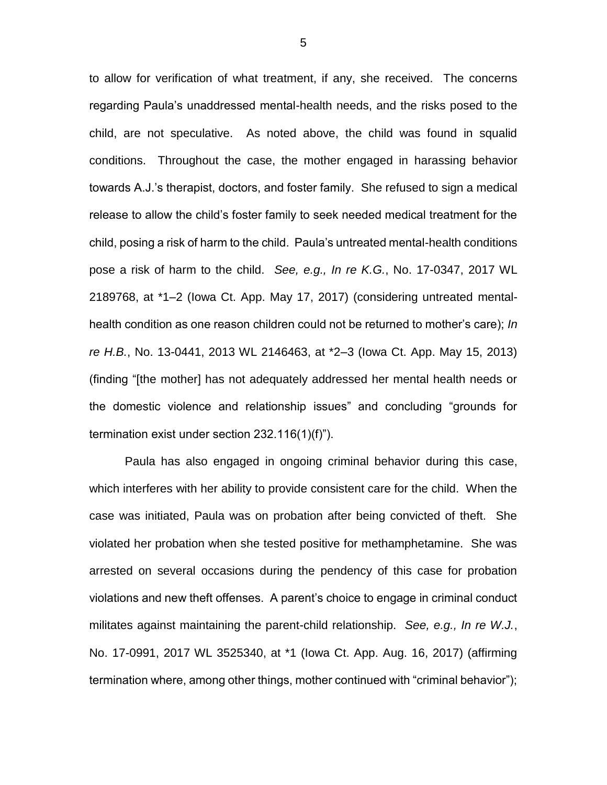to allow for verification of what treatment, if any, she received. The concerns regarding Paula's unaddressed mental-health needs, and the risks posed to the child, are not speculative. As noted above, the child was found in squalid conditions. Throughout the case, the mother engaged in harassing behavior towards A.J.'s therapist, doctors, and foster family. She refused to sign a medical release to allow the child's foster family to seek needed medical treatment for the child, posing a risk of harm to the child. Paula's untreated mental-health conditions pose a risk of harm to the child. *See, e.g., In re K.G.*, No. 17-0347, 2017 WL 2189768, at \*1–2 (Iowa Ct. App. May 17, 2017) (considering untreated mentalhealth condition as one reason children could not be returned to mother's care); *In re H.B.*, No. 13-0441, 2013 WL 2146463, at \*2–3 (Iowa Ct. App. May 15, 2013) (finding "[the mother] has not adequately addressed her mental health needs or the domestic violence and relationship issues" and concluding "grounds for termination exist under section 232.116(1)(f)").

Paula has also engaged in ongoing criminal behavior during this case, which interferes with her ability to provide consistent care for the child. When the case was initiated, Paula was on probation after being convicted of theft. She violated her probation when she tested positive for methamphetamine. She was arrested on several occasions during the pendency of this case for probation violations and new theft offenses. A parent's choice to engage in criminal conduct militates against maintaining the parent-child relationship. *See, e.g., In re W.J.*, No. 17-0991, 2017 WL 3525340, at \*1 (Iowa Ct. App. Aug. 16, 2017) (affirming termination where, among other things, mother continued with "criminal behavior");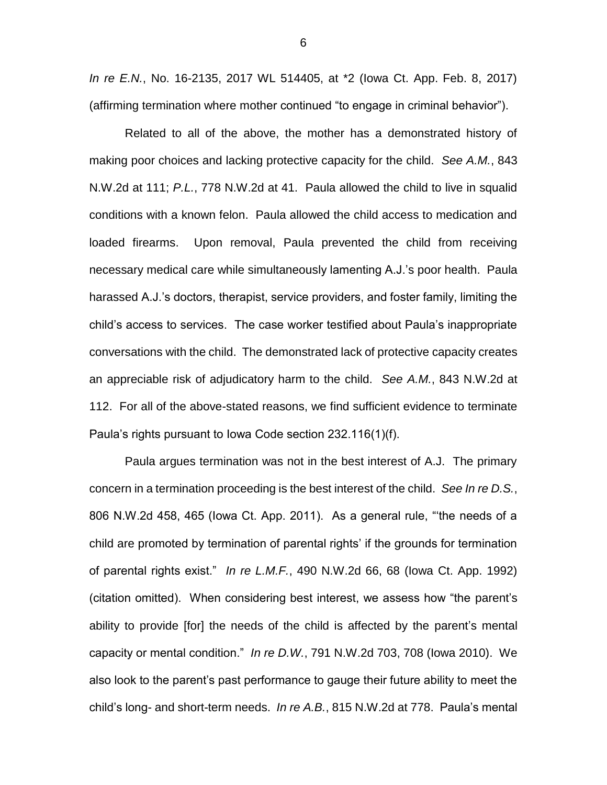*In re E.N.*, No. 16-2135, 2017 WL 514405, at \*2 (Iowa Ct. App. Feb. 8, 2017) (affirming termination where mother continued "to engage in criminal behavior").

Related to all of the above, the mother has a demonstrated history of making poor choices and lacking protective capacity for the child. *See A.M.*, 843 N.W.2d at 111; *P.L.*, 778 N.W.2d at 41. Paula allowed the child to live in squalid conditions with a known felon. Paula allowed the child access to medication and loaded firearms. Upon removal, Paula prevented the child from receiving necessary medical care while simultaneously lamenting A.J.'s poor health. Paula harassed A.J.'s doctors, therapist, service providers, and foster family, limiting the child's access to services. The case worker testified about Paula's inappropriate conversations with the child. The demonstrated lack of protective capacity creates an appreciable risk of adjudicatory harm to the child. *See A.M.*, 843 N.W.2d at 112. For all of the above-stated reasons, we find sufficient evidence to terminate Paula's rights pursuant to Iowa Code section 232.116(1)(f).

Paula argues termination was not in the best interest of A.J. The primary concern in a termination proceeding is the best interest of the child. *See In re D.S.*, 806 N.W.2d 458, 465 (Iowa Ct. App. 2011). As a general rule, "'the needs of a child are promoted by termination of parental rights' if the grounds for termination of parental rights exist." *In re L.M.F.*, 490 N.W.2d 66, 68 (Iowa Ct. App. 1992) (citation omitted). When considering best interest, we assess how "the parent's ability to provide [for] the needs of the child is affected by the parent's mental capacity or mental condition." *In re D.W.*, 791 N.W.2d 703, 708 (Iowa 2010). We also look to the parent's past performance to gauge their future ability to meet the child's long- and short-term needs. *In re A.B.*, 815 N.W.2d at 778. Paula's mental